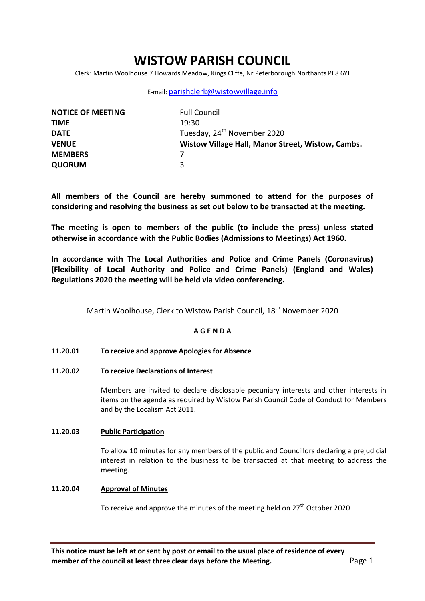# **WISTOW PARISH COUNCIL**

Clerk: Martin Woolhouse 7 Howards Meadow, Kings Cliffe, Nr Peterborough Northants PE8 6YJ

### E-mail: [parishclerk@wistowvillage.info](mailto:parishclerk@wistowvillage.info)

| <b>NOTICE OF MEETING</b> | <b>Full Council</b>                               |
|--------------------------|---------------------------------------------------|
| <b>TIME</b>              | 19:30                                             |
| <b>DATE</b>              | Tuesday, 24 <sup>th</sup> November 2020           |
| <b>VENUE</b>             | Wistow Village Hall, Manor Street, Wistow, Cambs. |
| <b>MEMBERS</b>           |                                                   |
| <b>QUORUM</b>            | ર                                                 |

**All members of the Council are hereby summoned to attend for the purposes of considering and resolving the business as set out below to be transacted at the meeting.**

**The meeting is open to members of the public (to include the press) unless stated otherwise in accordance with the Public Bodies (Admissions to Meetings) Act 1960.**

**In accordance with The Local Authorities and Police and Crime Panels (Coronavirus) (Flexibility of Local Authority and Police and Crime Panels) (England and Wales) Regulations 2020 the meeting will be held via video conferencing.** 

Martin Woolhouse, Clerk to Wistow Parish Council, 18<sup>th</sup> November 2020

### **A G E N D A**

- **11.20.01 To receive and approve Apologies for Absence**
- **11.20.02 To receive Declarations of Interest**

Members are invited to declare disclosable pecuniary interests and other interests in items on the agenda as required by Wistow Parish Council Code of Conduct for Members and by the Localism Act 2011.

### **11.20.03 Public Participation**

To allow 10 minutes for any members of the public and Councillors declaring a prejudicial interest in relation to the business to be transacted at that meeting to address the meeting.

### **11.20.04 Approval of Minutes**

To receive and approve the minutes of the meeting held on 27<sup>th</sup> October 2020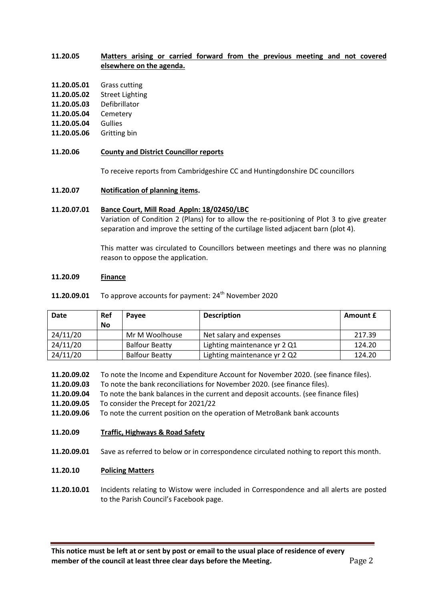### **11.20.05 Matters arising or carried forward from the previous meeting and not covered elsewhere on the agenda.**

- **11.20.05.01** Grass cutting
- **11.20.05.02** Street Lighting
- **11.20.05.03** Defibrillator
- **11.20.05.04 Cemetery**
- **11.20.05.04** Gullies
- **11.20.05.06** Gritting bin

### **11.20.06 County and District Councillor reports**

To receive reports from Cambridgeshire CC and Huntingdonshire DC councillors

#### **11.20.07 Notification of planning items.**

#### **11.20.07.01 Bance Court, Mill Road Appln: 18/02450/LBC**

Variation of Condition 2 (Plans) for to allow the re-positioning of Plot 3 to give greater separation and improve the setting of the curtilage listed adjacent barn (plot 4).

This matter was circulated to Councillors between meetings and there was no planning reason to oppose the application.

#### **11.20.09 Finance**

**11.20.09.01** To approve accounts for payment: 24<sup>th</sup> November 2020

| <b>Date</b> | Ref       | Pavee                 | <b>Description</b>           | Amount £ |
|-------------|-----------|-----------------------|------------------------------|----------|
|             | <b>No</b> |                       |                              |          |
| 24/11/20    |           | Mr M Woolhouse        | Net salary and expenses      | 217.39   |
| 24/11/20    |           | <b>Balfour Beatty</b> | Lighting maintenance yr 2 Q1 | 124.20   |
| 24/11/20    |           | <b>Balfour Beatty</b> | Lighting maintenance yr 2 Q2 | 124.20   |

**11.20.09.02** To note the Income and Expenditure Account for November 2020. (see finance files).

- **11.20.09.03** To note the bank reconciliations for November 2020. (see finance files).
- **11.20.09.04** To note the bank balances in the current and deposit accounts. (see finance files)
- **11.20.09.05** To consider the Precept for 2021/22
- **11.20.09.06** To note the current position on the operation of MetroBank bank accounts

**11.20.09 Traffic, Highways & Road Safety**

**11.20.09.01** Save as referred to below or in correspondence circulated nothing to report this month.

#### **11.20.10 Policing Matters**

**11.20.10.01** Incidents relating to Wistow were included in Correspondence and all alerts are posted to the Parish Council's Facebook page.